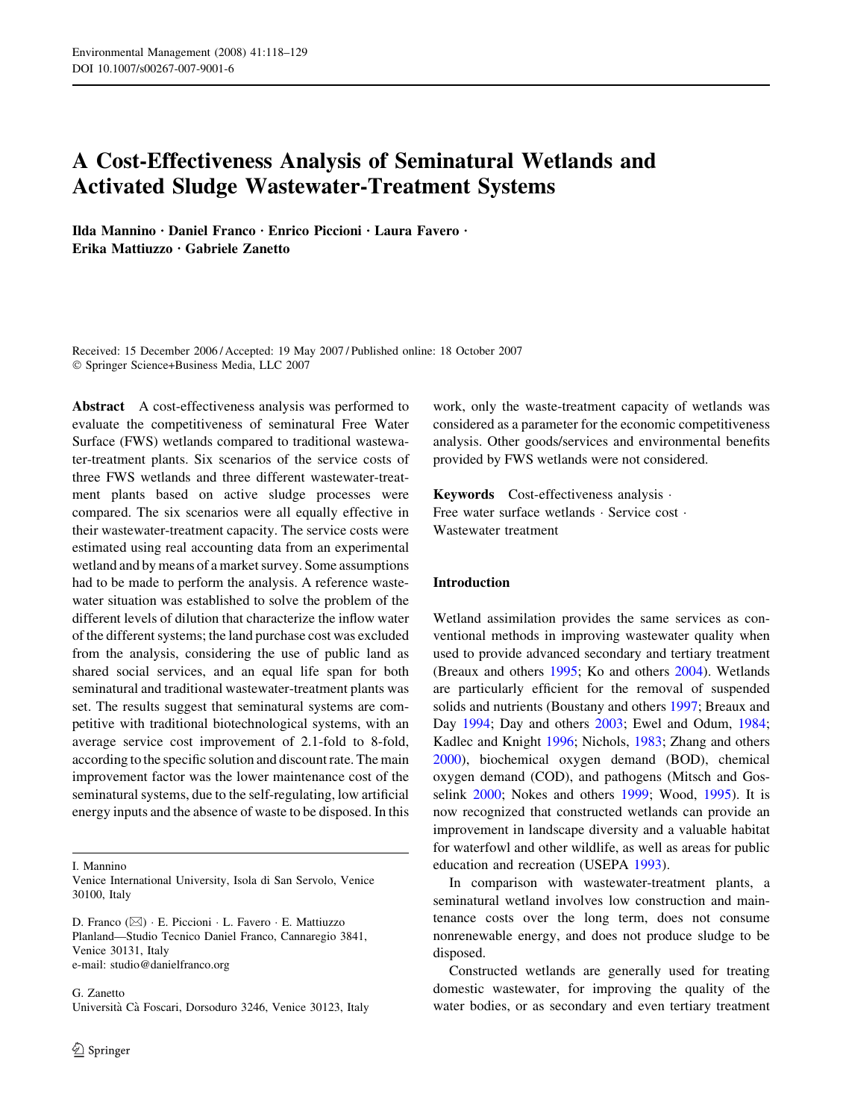# A Cost-Effectiveness Analysis of Seminatural Wetlands and Activated Sludge Wastewater-Treatment Systems

Ilda Mannino · Daniel Franco · Enrico Piccioni · Laura Favero · Erika Mattiuzzo  $\cdot$  Gabriele Zanetto

Received: 15 December 2006 / Accepted: 19 May 2007 / Published online: 18 October 2007 Springer Science+Business Media, LLC 2007

Abstract A cost-effectiveness analysis was performed to evaluate the competitiveness of seminatural Free Water Surface (FWS) wetlands compared to traditional wastewater-treatment plants. Six scenarios of the service costs of three FWS wetlands and three different wastewater-treatment plants based on active sludge processes were compared. The six scenarios were all equally effective in their wastewater-treatment capacity. The service costs were estimated using real accounting data from an experimental wetland and by means of a market survey. Some assumptions had to be made to perform the analysis. A reference wastewater situation was established to solve the problem of the different levels of dilution that characterize the inflow water of the different systems; the land purchase cost was excluded from the analysis, considering the use of public land as shared social services, and an equal life span for both seminatural and traditional wastewater-treatment plants was set. The results suggest that seminatural systems are competitive with traditional biotechnological systems, with an average service cost improvement of 2.1-fold to 8-fold, according to the specific solution and discount rate. The main improvement factor was the lower maintenance cost of the seminatural systems, due to the self-regulating, low artificial energy inputs and the absence of waste to be disposed. In this

I. Mannino

Venice International University, Isola di San Servolo, Venice 30100, Italy

D. Franco (⊠) · E. Piccioni · L. Favero · E. Mattiuzzo Planland—Studio Tecnico Daniel Franco, Cannaregio 3841, Venice 30131, Italy e-mail: studio@danielfranco.org

G. Zanetto Universita` Ca` Foscari, Dorsoduro 3246, Venice 30123, Italy

work, only the waste-treatment capacity of wetlands was considered as a parameter for the economic competitiveness analysis. Other goods/services and environmental benefits provided by FWS wetlands were not considered.

Keywords Cost-effectiveness analysis · Free water surface wetlands · Service cost · Wastewater treatment

### Introduction

Wetland assimilation provides the same services as conventional methods in improving wastewater quality when used to provide advanced secondary and tertiary treatment (Breaux and others [1995](#page-10-0); Ko and others [2004\)](#page-10-0). Wetlands are particularly efficient for the removal of suspended solids and nutrients (Boustany and others [1997](#page-10-0); Breaux and Day [1994;](#page-10-0) Day and others [2003;](#page-10-0) Ewel and Odum, [1984](#page-10-0); Kadlec and Knight [1996;](#page-10-0) Nichols, [1983](#page-10-0); Zhang and others [2000](#page-11-0)), biochemical oxygen demand (BOD), chemical oxygen demand (COD), and pathogens (Mitsch and Gosselink [2000](#page-10-0); Nokes and others [1999;](#page-10-0) Wood, [1995](#page-11-0)). It is now recognized that constructed wetlands can provide an improvement in landscape diversity and a valuable habitat for waterfowl and other wildlife, as well as areas for public education and recreation (USEPA [1993\)](#page-10-0).

In comparison with wastewater-treatment plants, a seminatural wetland involves low construction and maintenance costs over the long term, does not consume nonrenewable energy, and does not produce sludge to be disposed.

Constructed wetlands are generally used for treating domestic wastewater, for improving the quality of the water bodies, or as secondary and even tertiary treatment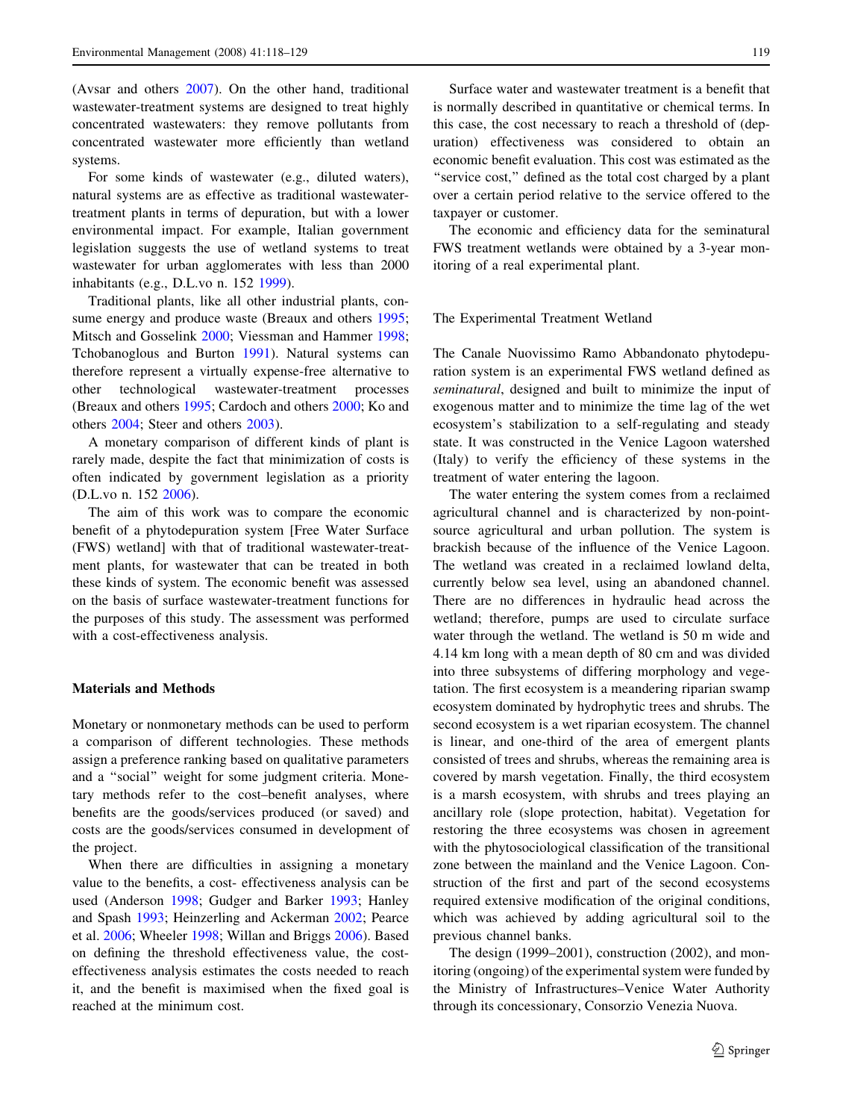(Avsar and others [2007](#page-9-0)). On the other hand, traditional wastewater-treatment systems are designed to treat highly concentrated wastewaters: they remove pollutants from concentrated wastewater more efficiently than wetland systems.

For some kinds of wastewater (e.g., diluted waters), natural systems are as effective as traditional wastewatertreatment plants in terms of depuration, but with a lower environmental impact. For example, Italian government legislation suggests the use of wetland systems to treat wastewater for urban agglomerates with less than 2000 inhabitants (e.g., D.L.vo n. 152 [1999\)](#page-10-0).

Traditional plants, like all other industrial plants, consume energy and produce waste (Breaux and others [1995](#page-10-0); Mitsch and Gosselink [2000](#page-10-0); Viessman and Hammer [1998](#page-10-0); Tchobanoglous and Burton [1991](#page-10-0)). Natural systems can therefore represent a virtually expense-free alternative to other technological wastewater-treatment processes (Breaux and others [1995](#page-10-0); Cardoch and others [2000;](#page-10-0) Ko and others [2004;](#page-10-0) Steer and others [2003](#page-10-0)).

A monetary comparison of different kinds of plant is rarely made, despite the fact that minimization of costs is often indicated by government legislation as a priority (D.L.vo n. 152 [2006](#page-10-0)).

The aim of this work was to compare the economic benefit of a phytodepuration system [Free Water Surface (FWS) wetland] with that of traditional wastewater-treatment plants, for wastewater that can be treated in both these kinds of system. The economic benefit was assessed on the basis of surface wastewater-treatment functions for the purposes of this study. The assessment was performed with a cost-effectiveness analysis.

#### Materials and Methods

Monetary or nonmonetary methods can be used to perform a comparison of different technologies. These methods assign a preference ranking based on qualitative parameters and a ''social'' weight for some judgment criteria. Monetary methods refer to the cost–benefit analyses, where benefits are the goods/services produced (or saved) and costs are the goods/services consumed in development of the project.

When there are difficulties in assigning a monetary value to the benefits, a cost- effectiveness analysis can be used (Anderson [1998](#page-9-0); Gudger and Barker [1993;](#page-10-0) Hanley and Spash [1993](#page-10-0); Heinzerling and Ackerman [2002](#page-10-0); Pearce et al. [2006](#page-10-0); Wheeler [1998](#page-10-0); Willan and Briggs [2006](#page-11-0)). Based on defining the threshold effectiveness value, the costeffectiveness analysis estimates the costs needed to reach it, and the benefit is maximised when the fixed goal is reached at the minimum cost.

Surface water and wastewater treatment is a benefit that is normally described in quantitative or chemical terms. In this case, the cost necessary to reach a threshold of (depuration) effectiveness was considered to obtain an economic benefit evaluation. This cost was estimated as the "service cost," defined as the total cost charged by a plant over a certain period relative to the service offered to the taxpayer or customer.

The economic and efficiency data for the seminatural FWS treatment wetlands were obtained by a 3-year monitoring of a real experimental plant.

#### The Experimental Treatment Wetland

The Canale Nuovissimo Ramo Abbandonato phytodepuration system is an experimental FWS wetland defined as seminatural, designed and built to minimize the input of exogenous matter and to minimize the time lag of the wet ecosystem's stabilization to a self-regulating and steady state. It was constructed in the Venice Lagoon watershed (Italy) to verify the efficiency of these systems in the treatment of water entering the lagoon.

The water entering the system comes from a reclaimed agricultural channel and is characterized by non-pointsource agricultural and urban pollution. The system is brackish because of the influence of the Venice Lagoon. The wetland was created in a reclaimed lowland delta, currently below sea level, using an abandoned channel. There are no differences in hydraulic head across the wetland; therefore, pumps are used to circulate surface water through the wetland. The wetland is 50 m wide and 4.14 km long with a mean depth of 80 cm and was divided into three subsystems of differing morphology and vegetation. The first ecosystem is a meandering riparian swamp ecosystem dominated by hydrophytic trees and shrubs. The second ecosystem is a wet riparian ecosystem. The channel is linear, and one-third of the area of emergent plants consisted of trees and shrubs, whereas the remaining area is covered by marsh vegetation. Finally, the third ecosystem is a marsh ecosystem, with shrubs and trees playing an ancillary role (slope protection, habitat). Vegetation for restoring the three ecosystems was chosen in agreement with the phytosociological classification of the transitional zone between the mainland and the Venice Lagoon. Construction of the first and part of the second ecosystems required extensive modification of the original conditions, which was achieved by adding agricultural soil to the previous channel banks.

The design (1999–2001), construction (2002), and monitoring (ongoing) of the experimental system were funded by the Ministry of Infrastructures–Venice Water Authority through its concessionary, Consorzio Venezia Nuova.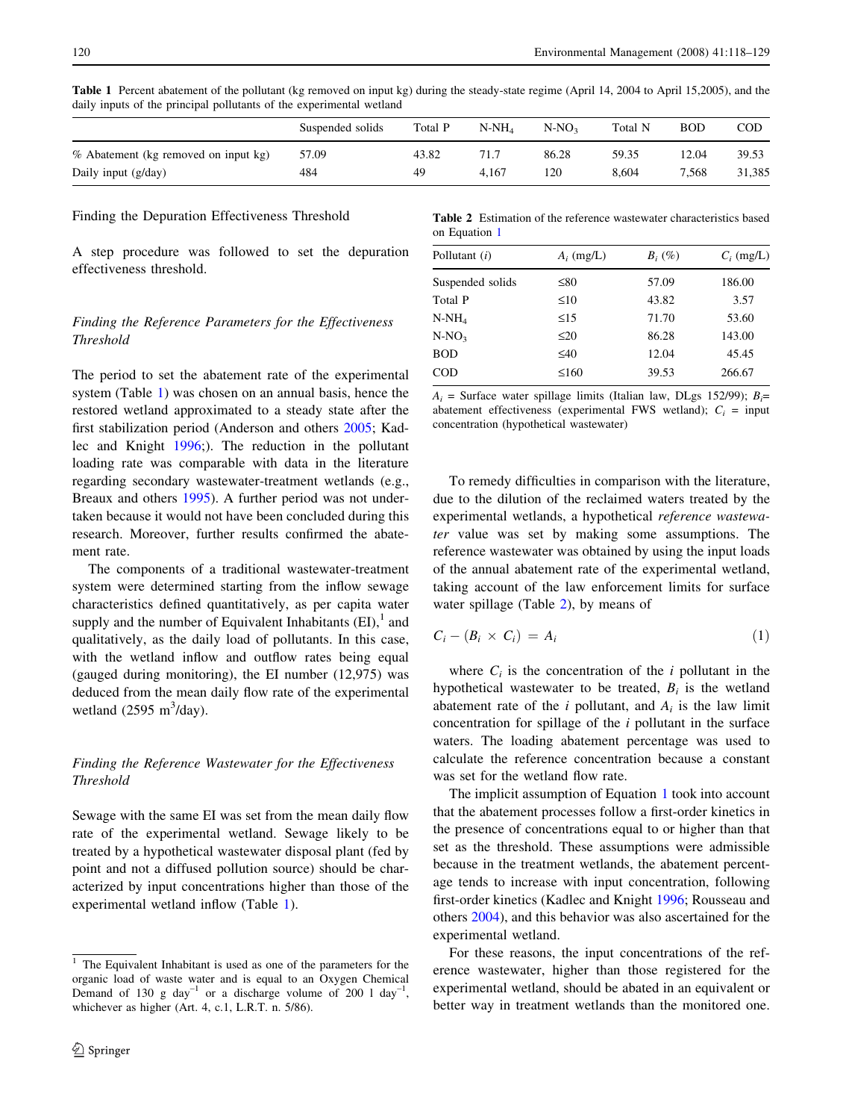| darry imputs of the principal politicality of the experimental wettand |                  |         |                   |         |         |       |        |  |
|------------------------------------------------------------------------|------------------|---------|-------------------|---------|---------|-------|--------|--|
|                                                                        | Suspended solids | Total P | N-NH <sub>4</sub> | $N-NO3$ | Total N | BOD   | COD    |  |
| % Abatement (kg removed on input kg)                                   | 57.09            | 43.82   | 71.7              | 86.28   | 59.35   | 12.04 | 39.53  |  |
| Daily input $(g/day)$                                                  | 484              | 49      | 4.167             | 120     | 8.604   | 7.568 | 31,385 |  |

<span id="page-2-0"></span>Table 1 Percent abatement of the pollutant (kg removed on input kg) during the steady-state regime (April 14, 2004 to April 15,2005), and the daily inputs of the principal pollutants of the experimental wetland

#### Finding the Depuration Effectiveness Threshold

A step procedure was followed to set the depuration effectiveness threshold.

## Finding the Reference Parameters for the Effectiveness **Threshold**

The period to set the abatement rate of the experimental system (Table 1) was chosen on an annual basis, hence the restored wetland approximated to a steady state after the first stabilization period (Anderson and others [2005;](#page-9-0) Kadlec and Knight [1996](#page-10-0);). The reduction in the pollutant loading rate was comparable with data in the literature regarding secondary wastewater-treatment wetlands (e.g., Breaux and others [1995\)](#page-10-0). A further period was not undertaken because it would not have been concluded during this research. Moreover, further results confirmed the abatement rate.

The components of a traditional wastewater-treatment system were determined starting from the inflow sewage characteristics defined quantitatively, as per capita water supply and the number of Equivalent Inhabitants  $(EI)$ , and qualitatively, as the daily load of pollutants. In this case, with the wetland inflow and outflow rates being equal (gauged during monitoring), the EI number (12,975) was deduced from the mean daily flow rate of the experimental wetland  $(2595 \text{ m}^3/\text{day})$ .

# Finding the Reference Wastewater for the Effectiveness **Threshold**

Sewage with the same EI was set from the mean daily flow rate of the experimental wetland. Sewage likely to be treated by a hypothetical wastewater disposal plant (fed by point and not a diffused pollution source) should be characterized by input concentrations higher than those of the experimental wetland inflow (Table 1).

Table 2 Estimation of the reference wastewater characteristics based on Equation 1

| Pollutant $(i)$   | $A_i$ (mg/L) | $B_i$ (%) | $C_i$ (mg/L) |  |
|-------------------|--------------|-----------|--------------|--|
| Suspended solids  | $\leq 80$    | 57.09     | 186.00       |  |
| Total P           | $\leq 10$    | 43.82     | 3.57         |  |
| N-NH <sub>4</sub> | $\leq$ 15    | 71.70     | 53.60        |  |
| $N-NO3$           | $\leq 20$    | 86.28     | 143.00       |  |
| <b>BOD</b>        | $\leq 40$    | 12.04     | 45.45        |  |
| <b>COD</b>        | $\leq 160$   | 39.53     | 266.67       |  |

 $A_i$  = Surface water spillage limits (Italian law, DLgs 152/99);  $B_i$ = abatement effectiveness (experimental FWS wetland);  $C_i$  = input concentration (hypothetical wastewater)

To remedy difficulties in comparison with the literature, due to the dilution of the reclaimed waters treated by the experimental wetlands, a hypothetical reference wastewater value was set by making some assumptions. The reference wastewater was obtained by using the input loads of the annual abatement rate of the experimental wetland, taking account of the law enforcement limits for surface water spillage (Table 2), by means of

$$
C_i - (B_i \times C_i) = A_i \tag{1}
$$

where  $C_i$  is the concentration of the i pollutant in the hypothetical wastewater to be treated,  $B_i$  is the wetland abatement rate of the  $i$  pollutant, and  $A_i$  is the law limit concentration for spillage of the i pollutant in the surface waters. The loading abatement percentage was used to calculate the reference concentration because a constant was set for the wetland flow rate.

The implicit assumption of Equation 1 took into account that the abatement processes follow a first-order kinetics in the presence of concentrations equal to or higher than that set as the threshold. These assumptions were admissible because in the treatment wetlands, the abatement percentage tends to increase with input concentration, following first-order kinetics (Kadlec and Knight [1996;](#page-10-0) Rousseau and others [2004](#page-10-0)), and this behavior was also ascertained for the experimental wetland.

For these reasons, the input concentrations of the reference wastewater, higher than those registered for the experimental wetland, should be abated in an equivalent or better way in treatment wetlands than the monitored one.

<sup>&</sup>lt;sup>1</sup> The Equivalent Inhabitant is used as one of the parameters for the organic load of waste water and is equal to an Oxygen Chemical Demand of 130 g day<sup>-1</sup> or a discharge volume of 200 l day<sup>-1</sup>, whichever as higher (Art. 4, c.1, L.R.T. n. 5/86).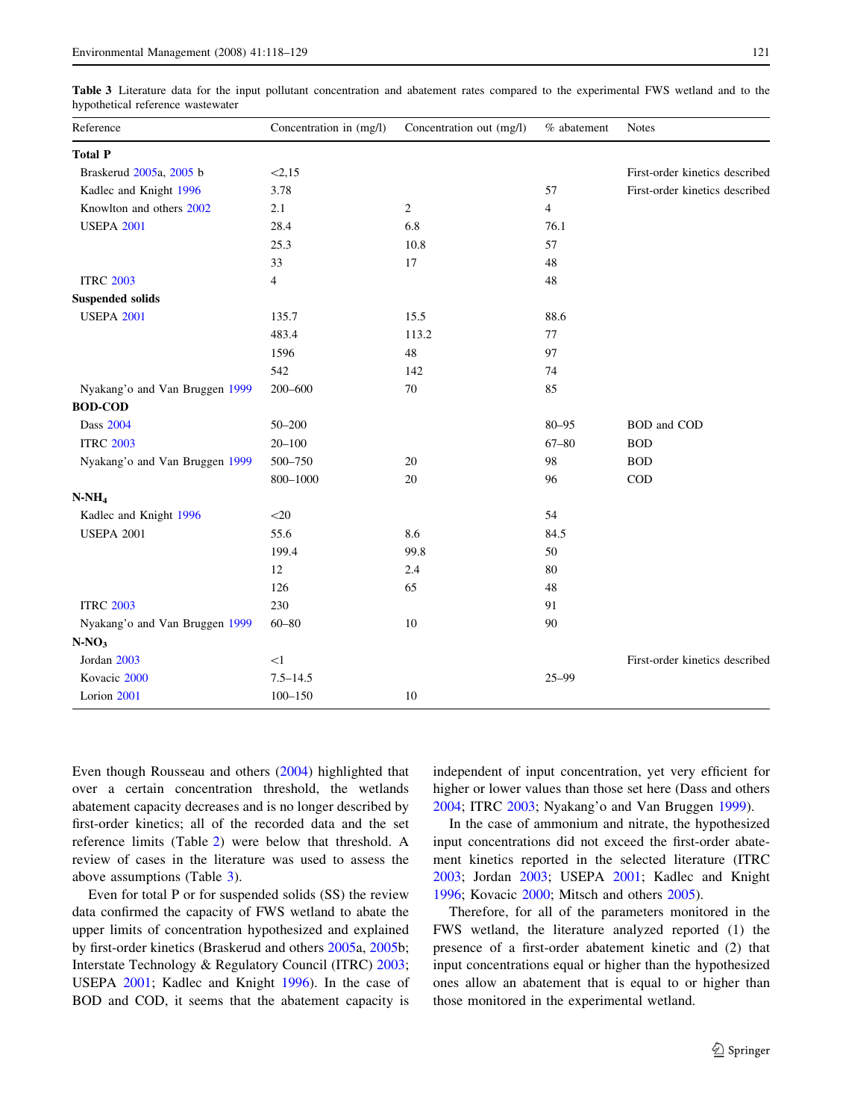Table 3 Literature data for the input pollutant concentration and abatement rates compared to the experimental FWS wetland and to the hypothetical reference wastewater

| Reference                      | Concentration in (mg/l) | Concentration out (mg/l) | % abatement    | <b>Notes</b>                   |
|--------------------------------|-------------------------|--------------------------|----------------|--------------------------------|
| <b>Total P</b>                 |                         |                          |                |                                |
| Braskerud 2005a, 2005 b        | < 2,15                  |                          |                | First-order kinetics described |
| Kadlec and Knight 1996         | 3.78                    |                          | 57             | First-order kinetics described |
| Knowlton and others 2002       | 2.1                     | 2                        | $\overline{4}$ |                                |
| <b>USEPA 2001</b>              | 28.4                    | 6.8                      | 76.1           |                                |
|                                | 25.3                    | 10.8                     | 57             |                                |
|                                | 33                      | 17                       | 48             |                                |
| <b>ITRC 2003</b>               | 4                       |                          | 48             |                                |
| <b>Suspended solids</b>        |                         |                          |                |                                |
| <b>USEPA 2001</b>              | 135.7                   | 15.5                     | 88.6           |                                |
|                                | 483.4                   | 113.2                    | 77             |                                |
|                                | 1596                    | 48                       | 97             |                                |
|                                | 542                     | 142                      | 74             |                                |
| Nyakang'o and Van Bruggen 1999 | 200-600                 | 70                       | 85             |                                |
| <b>BOD-COD</b>                 |                         |                          |                |                                |
| Dass 2004                      | $50 - 200$              |                          | $80 - 95$      | <b>BOD</b> and COD             |
| <b>ITRC 2003</b>               | $20 - 100$              |                          | $67 - 80$      | <b>BOD</b>                     |
| Nyakang'o and Van Bruggen 1999 | 500-750                 | 20                       | 98             | <b>BOD</b>                     |
|                                | 800-1000                | 20                       | 96             | COD                            |
| $N-NH_4$                       |                         |                          |                |                                |
| Kadlec and Knight 1996         | $<$ 20                  |                          | 54             |                                |
| <b>USEPA 2001</b>              | 55.6                    | 8.6                      | 84.5           |                                |
|                                | 199.4                   | 99.8                     | 50             |                                |
|                                | 12                      | 2.4                      | 80             |                                |
|                                | 126                     | 65                       | 48             |                                |
| <b>ITRC 2003</b>               | 230                     |                          | 91             |                                |
| Nyakang'o and Van Bruggen 1999 | $60 - 80$               | $10\,$                   | 90             |                                |
| $N-NO_3$                       |                         |                          |                |                                |
| Jordan 2003                    | <1                      |                          |                | First-order kinetics described |
| Kovacic 2000                   | $7.5 - 14.5$            |                          | $25 - 99$      |                                |
| Lorion 2001                    | $100 - 150$             | 10                       |                |                                |

Even though Rousseau and others ([2004\)](#page-10-0) highlighted that over a certain concentration threshold, the wetlands abatement capacity decreases and is no longer described by first-order kinetics; all of the recorded data and the set reference limits (Table [2\)](#page-2-0) were below that threshold. A review of cases in the literature was used to assess the above assumptions (Table 3).

Even for total P or for suspended solids (SS) the review data confirmed the capacity of FWS wetland to abate the upper limits of concentration hypothesized and explained by first-order kinetics (Braskerud and others [2005a](#page-10-0), [2005](#page-10-0)b; Interstate Technology & Regulatory Council (ITRC) [2003](#page-10-0); USEPA [2001](#page-10-0); Kadlec and Knight [1996\)](#page-10-0). In the case of BOD and COD, it seems that the abatement capacity is independent of input concentration, yet very efficient for higher or lower values than those set here (Dass and others [2004](#page-10-0); ITRC [2003](#page-10-0); Nyakang'o and Van Bruggen [1999\)](#page-10-0).

In the case of ammonium and nitrate, the hypothesized input concentrations did not exceed the first-order abatement kinetics reported in the selected literature (ITRC [2003](#page-10-0); Jordan [2003](#page-10-0); USEPA [2001](#page-10-0); Kadlec and Knight [1996](#page-10-0); Kovacic [2000;](#page-10-0) Mitsch and others [2005\)](#page-10-0).

Therefore, for all of the parameters monitored in the FWS wetland, the literature analyzed reported (1) the presence of a first-order abatement kinetic and (2) that input concentrations equal or higher than the hypothesized ones allow an abatement that is equal to or higher than those monitored in the experimental wetland.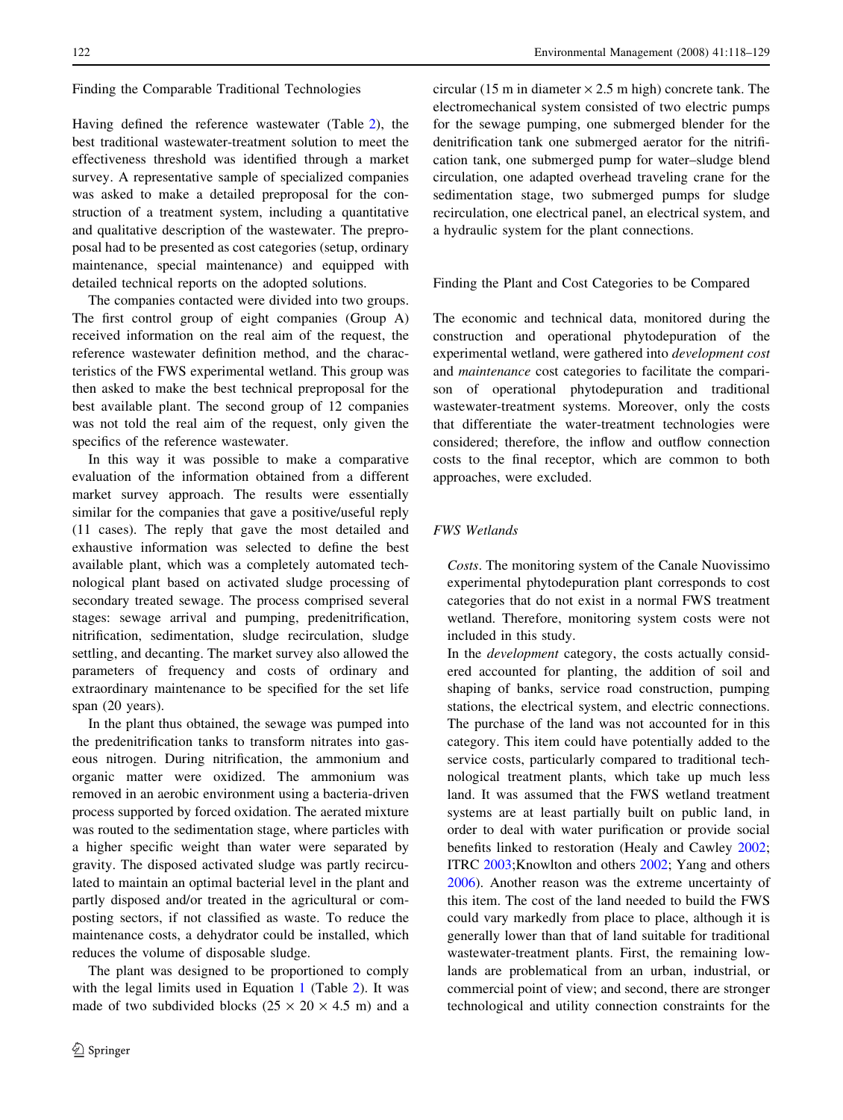Finding the Comparable Traditional Technologies

Having defined the reference wastewater (Table [2\)](#page-2-0), the best traditional wastewater-treatment solution to meet the effectiveness threshold was identified through a market survey. A representative sample of specialized companies was asked to make a detailed preproposal for the construction of a treatment system, including a quantitative and qualitative description of the wastewater. The preproposal had to be presented as cost categories (setup, ordinary maintenance, special maintenance) and equipped with detailed technical reports on the adopted solutions.

The companies contacted were divided into two groups. The first control group of eight companies (Group A) received information on the real aim of the request, the reference wastewater definition method, and the characteristics of the FWS experimental wetland. This group was then asked to make the best technical preproposal for the best available plant. The second group of 12 companies was not told the real aim of the request, only given the specifics of the reference wastewater.

In this way it was possible to make a comparative evaluation of the information obtained from a different market survey approach. The results were essentially similar for the companies that gave a positive/useful reply (11 cases). The reply that gave the most detailed and exhaustive information was selected to define the best available plant, which was a completely automated technological plant based on activated sludge processing of secondary treated sewage. The process comprised several stages: sewage arrival and pumping, predenitrification, nitrification, sedimentation, sludge recirculation, sludge settling, and decanting. The market survey also allowed the parameters of frequency and costs of ordinary and extraordinary maintenance to be specified for the set life span (20 years).

In the plant thus obtained, the sewage was pumped into the predenitrification tanks to transform nitrates into gaseous nitrogen. During nitrification, the ammonium and organic matter were oxidized. The ammonium was removed in an aerobic environment using a bacteria-driven process supported by forced oxidation. The aerated mixture was routed to the sedimentation stage, where particles with a higher specific weight than water were separated by gravity. The disposed activated sludge was partly recirculated to maintain an optimal bacterial level in the plant and partly disposed and/or treated in the agricultural or composting sectors, if not classified as waste. To reduce the maintenance costs, a dehydrator could be installed, which reduces the volume of disposable sludge.

The plant was designed to be proportioned to comply with the legal limits used in Equation  $1$  (Table [2](#page-2-0)). It was made of two subdivided blocks ( $25 \times 20 \times 4.5$  m) and a circular (15 m in diameter  $\times$  2.5 m high) concrete tank. The electromechanical system consisted of two electric pumps for the sewage pumping, one submerged blender for the denitrification tank one submerged aerator for the nitrification tank, one submerged pump for water–sludge blend circulation, one adapted overhead traveling crane for the sedimentation stage, two submerged pumps for sludge recirculation, one electrical panel, an electrical system, and a hydraulic system for the plant connections.

## Finding the Plant and Cost Categories to be Compared

The economic and technical data, monitored during the construction and operational phytodepuration of the experimental wetland, were gathered into development cost and maintenance cost categories to facilitate the comparison of operational phytodepuration and traditional wastewater-treatment systems. Moreover, only the costs that differentiate the water-treatment technologies were considered; therefore, the inflow and outflow connection costs to the final receptor, which are common to both approaches, were excluded.

### FWS Wetlands

Costs. The monitoring system of the Canale Nuovissimo experimental phytodepuration plant corresponds to cost categories that do not exist in a normal FWS treatment wetland. Therefore, monitoring system costs were not included in this study.

In the development category, the costs actually considered accounted for planting, the addition of soil and shaping of banks, service road construction, pumping stations, the electrical system, and electric connections. The purchase of the land was not accounted for in this category. This item could have potentially added to the service costs, particularly compared to traditional technological treatment plants, which take up much less land. It was assumed that the FWS wetland treatment systems are at least partially built on public land, in order to deal with water purification or provide social benefits linked to restoration (Healy and Cawley [2002](#page-10-0); ITRC [2003;](#page-10-0)Knowlton and others [2002](#page-10-0); Yang and others [2006](#page-11-0)). Another reason was the extreme uncertainty of this item. The cost of the land needed to build the FWS could vary markedly from place to place, although it is generally lower than that of land suitable for traditional wastewater-treatment plants. First, the remaining lowlands are problematical from an urban, industrial, or commercial point of view; and second, there are stronger technological and utility connection constraints for the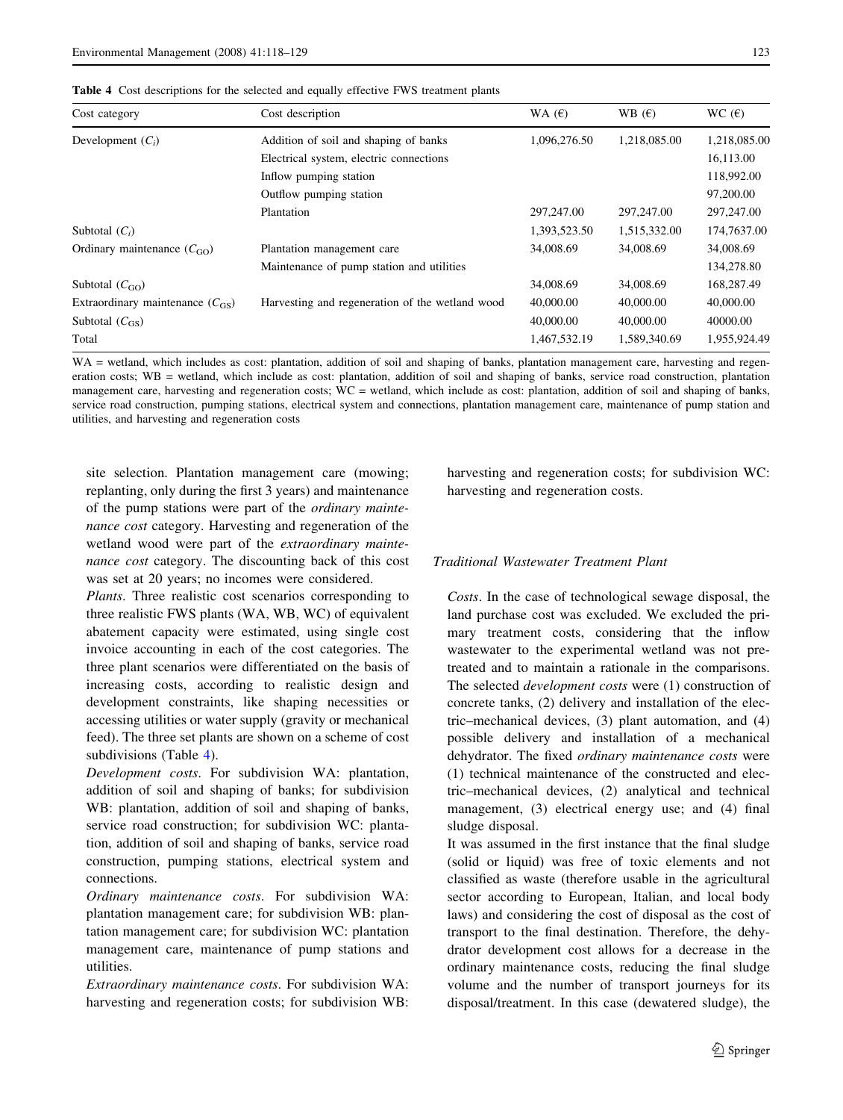<span id="page-5-0"></span>Table 4 Cost descriptions for the selected and equally effective FWS treatment plants

| Cost category                               | Cost description                                | WA $(\epsilon)$ | WB $(\epsilon)$ | WC(E)        |
|---------------------------------------------|-------------------------------------------------|-----------------|-----------------|--------------|
| Development $(C_i)$                         | Addition of soil and shaping of banks           | 1,096,276.50    | 1,218,085.00    | 1,218,085.00 |
|                                             | Electrical system, electric connections         |                 |                 | 16,113.00    |
|                                             | Inflow pumping station                          |                 |                 | 118,992.00   |
|                                             | Outflow pumping station                         |                 |                 | 97,200.00    |
|                                             | Plantation                                      | 297,247.00      | 297,247.00      | 297,247.00   |
| Subtotal $(C_i)$                            |                                                 | 1,393,523.50    | 1,515,332.00    | 174,7637.00  |
| Ordinary maintenance $(C_{\text{GO}})$      | Plantation management care                      | 34,008.69       | 34,008.69       | 34,008.69    |
|                                             | Maintenance of pump station and utilities       |                 |                 | 134,278.80   |
| Subtotal $(C_{GO})$                         |                                                 | 34,008.69       | 34,008.69       | 168,287.49   |
| Extraordinary maintenance $(C_{\text{GS}})$ | Harvesting and regeneration of the wetland wood | 40,000.00       | 40,000.00       | 40,000.00    |
| Subtotal $(C_{GS})$                         |                                                 | 40,000.00       | 40,000.00       | 40000.00     |
| Total                                       |                                                 | 1,467,532.19    | 1,589,340.69    | 1,955,924.49 |

WA = wetland, which includes as cost: plantation, addition of soil and shaping of banks, plantation management care, harvesting and regeneration costs; WB = wetland, which include as cost: plantation, addition of soil and shaping of banks, service road construction, plantation management care, harvesting and regeneration costs; WC = wetland, which include as cost: plantation, addition of soil and shaping of banks, service road construction, pumping stations, electrical system and connections, plantation management care, maintenance of pump station and utilities, and harvesting and regeneration costs

site selection. Plantation management care (mowing; replanting, only during the first 3 years) and maintenance of the pump stations were part of the ordinary maintenance cost category. Harvesting and regeneration of the wetland wood were part of the extraordinary maintenance cost category. The discounting back of this cost was set at 20 years; no incomes were considered.

Plants. Three realistic cost scenarios corresponding to three realistic FWS plants (WA, WB, WC) of equivalent abatement capacity were estimated, using single cost invoice accounting in each of the cost categories. The three plant scenarios were differentiated on the basis of increasing costs, according to realistic design and development constraints, like shaping necessities or accessing utilities or water supply (gravity or mechanical feed). The three set plants are shown on a scheme of cost subdivisions (Table 4).

Development costs. For subdivision WA: plantation, addition of soil and shaping of banks; for subdivision WB: plantation, addition of soil and shaping of banks, service road construction; for subdivision WC: plantation, addition of soil and shaping of banks, service road construction, pumping stations, electrical system and connections.

Ordinary maintenance costs. For subdivision WA: plantation management care; for subdivision WB: plantation management care; for subdivision WC: plantation management care, maintenance of pump stations and utilities.

Extraordinary maintenance costs. For subdivision WA: harvesting and regeneration costs; for subdivision WB: harvesting and regeneration costs; for subdivision WC: harvesting and regeneration costs.

### Traditional Wastewater Treatment Plant

Costs. In the case of technological sewage disposal, the land purchase cost was excluded. We excluded the primary treatment costs, considering that the inflow wastewater to the experimental wetland was not pretreated and to maintain a rationale in the comparisons. The selected *development costs* were (1) construction of concrete tanks, (2) delivery and installation of the electric–mechanical devices, (3) plant automation, and (4) possible delivery and installation of a mechanical dehydrator. The fixed ordinary maintenance costs were (1) technical maintenance of the constructed and electric–mechanical devices, (2) analytical and technical management, (3) electrical energy use; and (4) final sludge disposal.

It was assumed in the first instance that the final sludge (solid or liquid) was free of toxic elements and not classified as waste (therefore usable in the agricultural sector according to European, Italian, and local body laws) and considering the cost of disposal as the cost of transport to the final destination. Therefore, the dehydrator development cost allows for a decrease in the ordinary maintenance costs, reducing the final sludge volume and the number of transport journeys for its disposal/treatment. In this case (dewatered sludge), the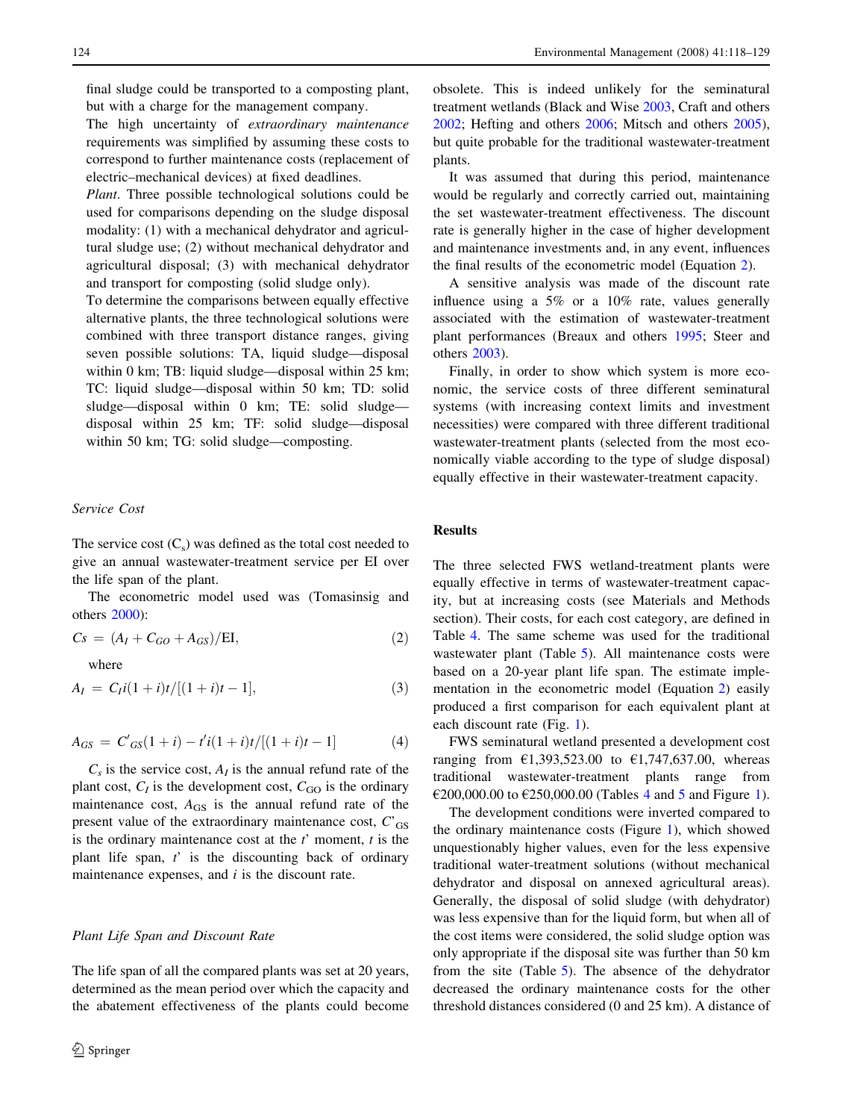final sludge could be transported to a composting plant, but with a charge for the management company.

The high uncertainty of extraordinary maintenance requirements was simplified by assuming these costs to correspond to further maintenance costs (replacement of electric–mechanical devices) at fixed deadlines.

Plant. Three possible technological solutions could be used for comparisons depending on the sludge disposal modality: (1) with a mechanical dehydrator and agricultural sludge use; (2) without mechanical dehydrator and agricultural disposal; (3) with mechanical dehydrator and transport for composting (solid sludge only).

To determine the comparisons between equally effective alternative plants, the three technological solutions were combined with three transport distance ranges, giving seven possible solutions: TA, liquid sludge—disposal within 0 km; TB: liquid sludge—disposal within 25 km; TC: liquid sludge—disposal within 50 km; TD: solid sludge—disposal within 0 km; TE: solid sludge disposal within 25 km; TF: solid sludge—disposal within 50 km; TG: solid sludge—composting.

## Service Cost

The service cost  $(C_s)$  was defined as the total cost needed to give an annual wastewater-treatment service per EI over the life span of the plant.

The econometric model used was (Tomasinsig and others [2000\)](#page-10-0):

$$
Cs = (A_I + C_{GO} + A_{GS})/EI,
$$
 (2)

where

$$
A_I = C_I i(1+i)t/[(1+i)t-1], \tag{3}
$$

$$
A_{GS} = C'_{GS}(1+i) - t'i(1+i)t/[(1+i)t-1]
$$
 (4)

 $C_s$  is the service cost,  $A_I$  is the annual refund rate of the plant cost,  $C_I$  is the development cost,  $C_{GO}$  is the ordinary maintenance cost,  $A_{GS}$  is the annual refund rate of the present value of the extraordinary maintenance cost,  $C_{GS}$ is the ordinary maintenance cost at the  $t'$  moment,  $t$  is the plant life span,  $t'$  is the discounting back of ordinary maintenance expenses, and  $i$  is the discount rate.

#### Plant Life Span and Discount Rate

The life span of all the compared plants was set at 20 years, determined as the mean period over which the capacity and the abatement effectiveness of the plants could become obsolete. This is indeed unlikely for the seminatural treatment wetlands (Black and Wise [2003](#page-10-0), Craft and others [2002](#page-10-0); Hefting and others [2006;](#page-10-0) Mitsch and others [2005](#page-10-0)), but quite probable for the traditional wastewater-treatment plants.

It was assumed that during this period, maintenance would be regularly and correctly carried out, maintaining the set wastewater-treatment effectiveness. The discount rate is generally higher in the case of higher development and maintenance investments and, in any event, influences the final results of the econometric model (Equation 2).

A sensitive analysis was made of the discount rate influence using a 5% or a 10% rate, values generally associated with the estimation of wastewater-treatment plant performances (Breaux and others [1995;](#page-10-0) Steer and others [2003\)](#page-10-0).

Finally, in order to show which system is more economic, the service costs of three different seminatural systems (with increasing context limits and investment necessities) were compared with three different traditional wastewater-treatment plants (selected from the most economically viable according to the type of sludge disposal) equally effective in their wastewater-treatment capacity.

#### Results

The three selected FWS wetland-treatment plants were equally effective in terms of wastewater-treatment capacity, but at increasing costs (see Materials and Methods section). Their costs, for each cost category, are defined in Table [4](#page-5-0). The same scheme was used for the traditional wastewater plant (Table [5\)](#page-7-0). All maintenance costs were based on a 20-year plant life span. The estimate implementation in the econometric model (Equation 2) easily produced a first comparison for each equivalent plant at each discount rate (Fig. [1\)](#page-8-0).

FWS seminatural wetland presented a development cost ranging from  $\text{\textsterling}1,393,523.00$  to  $\text{\textsterling}1,747,637.00$ , whereas traditional wastewater-treatment plants range from  $\epsilon$ 200,000.00 to  $\epsilon$ 250,000.00 (Tables [4](#page-5-0) and [5](#page-7-0) and Figure [1](#page-8-0)).

The development conditions were inverted compared to the ordinary maintenance costs (Figure [1\)](#page-8-0), which showed unquestionably higher values, even for the less expensive traditional water-treatment solutions (without mechanical dehydrator and disposal on annexed agricultural areas). Generally, the disposal of solid sludge (with dehydrator) was less expensive than for the liquid form, but when all of the cost items were considered, the solid sludge option was only appropriate if the disposal site was further than 50 km from the site (Table [5\)](#page-7-0). The absence of the dehydrator decreased the ordinary maintenance costs for the other threshold distances considered (0 and 25 km). A distance of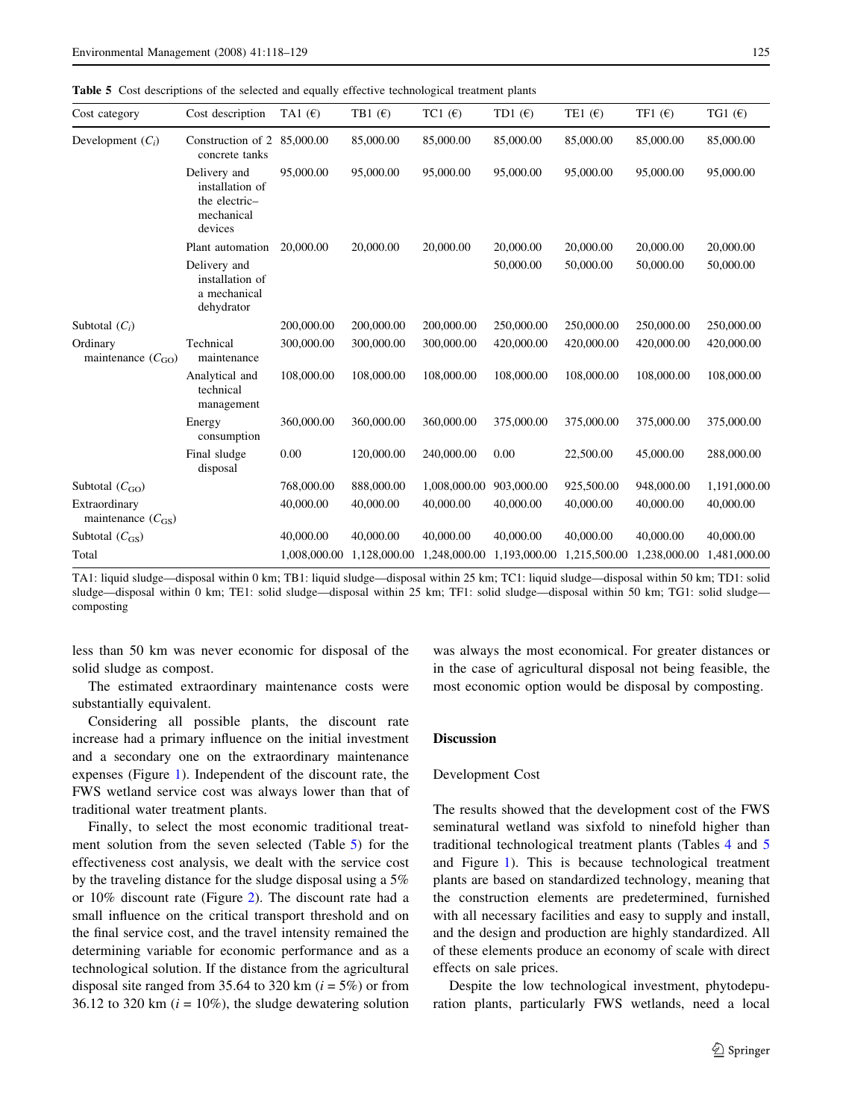<span id="page-7-0"></span>Table 5 Cost descriptions of the selected and equally effective technological treatment plants

| Cost category                           | Cost description                                                          | TA1 $(E)$    | TB1 $(\epsilon)$ | TC1 $(\epsilon)$ | TD1 $(\epsilon)$ | TE1 $(\epsilon)$ | TF1 $(\epsilon)$ | TG1 $(\epsilon)$ |
|-----------------------------------------|---------------------------------------------------------------------------|--------------|------------------|------------------|------------------|------------------|------------------|------------------|
| Development $(C_i)$                     | Construction of 2<br>concrete tanks                                       | 85,000.00    | 85,000.00        | 85,000.00        | 85,000.00        | 85,000.00        | 85,000.00        | 85,000.00        |
|                                         | Delivery and<br>installation of<br>the electric-<br>mechanical<br>devices | 95,000.00    | 95,000.00        | 95,000.00        | 95,000.00        | 95,000.00        | 95,000.00        | 95,000.00        |
|                                         | Plant automation                                                          | 20,000.00    | 20,000.00        | 20,000.00        | 20,000.00        | 20,000.00        | 20,000.00        | 20,000.00        |
|                                         | Delivery and<br>installation of<br>a mechanical<br>dehydrator             |              |                  |                  | 50,000.00        | 50,000.00        | 50,000.00        | 50,000.00        |
| Subtotal $(C_i)$                        |                                                                           | 200,000.00   | 200,000.00       | 200,000.00       | 250,000.00       | 250,000.00       | 250,000.00       | 250,000.00       |
| Ordinary<br>maintenance $(C_{GO})$      | Technical<br>maintenance                                                  | 300,000.00   | 300,000.00       | 300,000.00       | 420,000.00       | 420,000.00       | 420,000.00       | 420,000.00       |
|                                         | Analytical and<br>technical<br>management                                 | 108,000.00   | 108,000.00       | 108,000.00       | 108,000.00       | 108,000.00       | 108,000.00       | 108,000.00       |
|                                         | Energy<br>consumption                                                     | 360,000.00   | 360,000.00       | 360,000.00       | 375,000.00       | 375,000.00       | 375,000.00       | 375,000.00       |
|                                         | Final sludge<br>disposal                                                  | 0.00         | 120,000.00       | 240,000.00       | 0.00             | 22,500.00        | 45,000.00        | 288,000.00       |
| Subtotal $(C_{\text{GO}})$              |                                                                           | 768,000.00   | 888,000.00       | 1.008.000.00     | 903,000.00       | 925,500.00       | 948,000.00       | 1,191,000.00     |
| Extraordinary<br>maintenance $(C_{GS})$ |                                                                           | 40,000.00    | 40,000.00        | 40,000.00        | 40,000.00        | 40,000.00        | 40,000.00        | 40,000.00        |
| Subtotal $(C_{GS})$                     |                                                                           | 40,000.00    | 40,000.00        | 40,000.00        | 40,000.00        | 40,000.00        | 40,000.00        | 40,000.00        |
| Total                                   |                                                                           | 1,008,000.00 | 1,128,000.00     | 1,248,000.00     | 1,193,000.00     | 1,215,500.00     | 1,238,000.00     | 1,481,000.00     |

TA1: liquid sludge—disposal within 0 km; TB1: liquid sludge—disposal within 25 km; TC1: liquid sludge—disposal within 50 km; TD1: solid sludge—disposal within 0 km; TE1: solid sludge—disposal within 25 km; TF1: solid sludge—disposal within 50 km; TG1: solid sludge composting

less than 50 km was never economic for disposal of the solid sludge as compost.

The estimated extraordinary maintenance costs were substantially equivalent.

Considering all possible plants, the discount rate increase had a primary influence on the initial investment and a secondary one on the extraordinary maintenance expenses (Figure [1](#page-8-0)). Independent of the discount rate, the FWS wetland service cost was always lower than that of traditional water treatment plants.

Finally, to select the most economic traditional treatment solution from the seven selected (Table 5) for the effectiveness cost analysis, we dealt with the service cost by the traveling distance for the sludge disposal using a 5% or 10% discount rate (Figure [2](#page-8-0)). The discount rate had a small influence on the critical transport threshold and on the final service cost, and the travel intensity remained the determining variable for economic performance and as a technological solution. If the distance from the agricultural disposal site ranged from 35.64 to 320 km  $(i = 5\%)$  or from 36.12 to 320 km ( $i = 10\%$ ), the sludge dewatering solution was always the most economical. For greater distances or in the case of agricultural disposal not being feasible, the most economic option would be disposal by composting.

#### **Discussion**

#### Development Cost

The results showed that the development cost of the FWS seminatural wetland was sixfold to ninefold higher than traditional technological treatment plants (Tables [4](#page-5-0) and 5 and Figure [1\)](#page-8-0). This is because technological treatment plants are based on standardized technology, meaning that the construction elements are predetermined, furnished with all necessary facilities and easy to supply and install, and the design and production are highly standardized. All of these elements produce an economy of scale with direct effects on sale prices.

Despite the low technological investment, phytodepuration plants, particularly FWS wetlands, need a local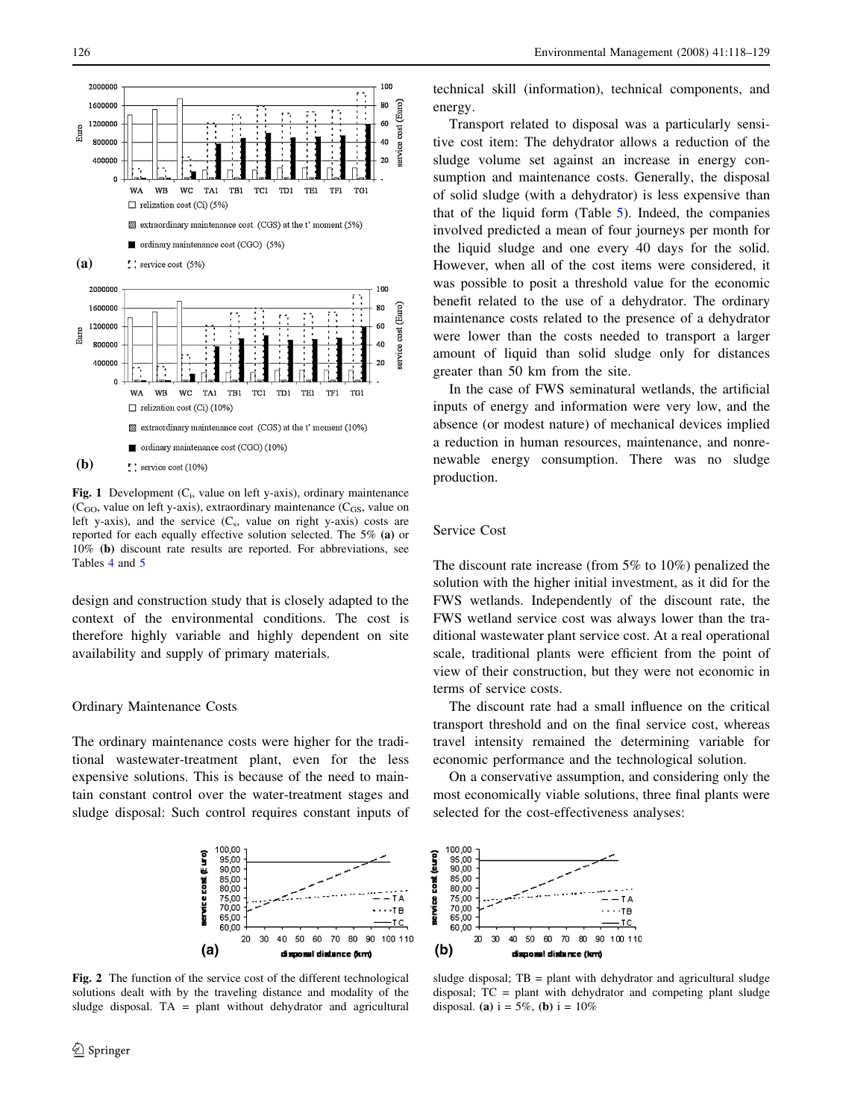<span id="page-8-0"></span>

Fig. 1 Development  $(C_i,$  value on left y-axis), ordinary maintenance  $(C_{\text{GO}})$ , value on left y-axis), extraordinary maintenance  $(C_{\text{GS}})$ , value on left y-axis), and the service  $(C_s,$  value on right y-axis) costs are reported for each equally effective solution selected. The 5% (a) or 10% (b) discount rate results are reported. For abbreviations, see Tables [4](#page-5-0) and [5](#page-7-0)

design and construction study that is closely adapted to the context of the environmental conditions. The cost is therefore highly variable and highly dependent on site availability and supply of primary materials.

#### Ordinary Maintenance Costs

The ordinary maintenance costs were higher for the traditional wastewater-treatment plant, even for the less expensive solutions. This is because of the need to maintain constant control over the water-treatment stages and sludge disposal: Such control requires constant inputs of

100.00 cond (euro)

technical skill (information), technical components, and energy.

Transport related to disposal was a particularly sensitive cost item: The dehydrator allows a reduction of the sludge volume set against an increase in energy consumption and maintenance costs. Generally, the disposal of solid sludge (with a dehydrator) is less expensive than that of the liquid form  $(Table 5)$  $(Table 5)$ . Indeed, the companies involved predicted a mean of four journeys per month for the liquid sludge and one every 40 days for the solid. However, when all of the cost items were considered, it was possible to posit a threshold value for the economic benefit related to the use of a dehydrator. The ordinary maintenance costs related to the presence of a dehydrator were lower than the costs needed to transport a larger amount of liquid than solid sludge only for distances greater than 50 km from the site.

In the case of FWS seminatural wetlands, the artificial inputs of energy and information were very low, and the absence (or modest nature) of mechanical devices implied a reduction in human resources, maintenance, and nonrenewable energy consumption. There was no sludge production.

#### Service Cost

100.00

 $95,00$ 

90,00 85.00

80,00

75.00

70,00

65,00

60.00

30

20

**BETVICE** 

 $(b)$ 

The discount rate increase (from 5% to 10%) penalized the solution with the higher initial investment, as it did for the FWS wetlands. Independently of the discount rate, the FWS wetland service cost was always lower than the traditional wastewater plant service cost. At a real operational scale, traditional plants were efficient from the point of view of their construction, but they were not economic in terms of service costs.

The discount rate had a small influence on the critical transport threshold and on the final service cost, whereas travel intensity remained the determining variable for economic performance and the technological solution.

On a conservative assumption, and considering only the most economically viable solutions, three final plants were selected for the cost-effectiveness analyses:



Fig. 2 The function of the service cost of the different technological solutions dealt with by the traveling distance and modality of the sludge disposal. TA = plant without dehydrator and agricultural

sludge disposal;  $TB = plant$  with dehydrator and agricultural sludge disposal; TC = plant with dehydrator and competing plant sludge disposal. (a)  $i = 5\%$ , (b)  $i = 10\%$ 

40 50 60 70 80 90 100 110

disposal distance (km)

– T A

<u>- TC </u>

 $\cdots$ тв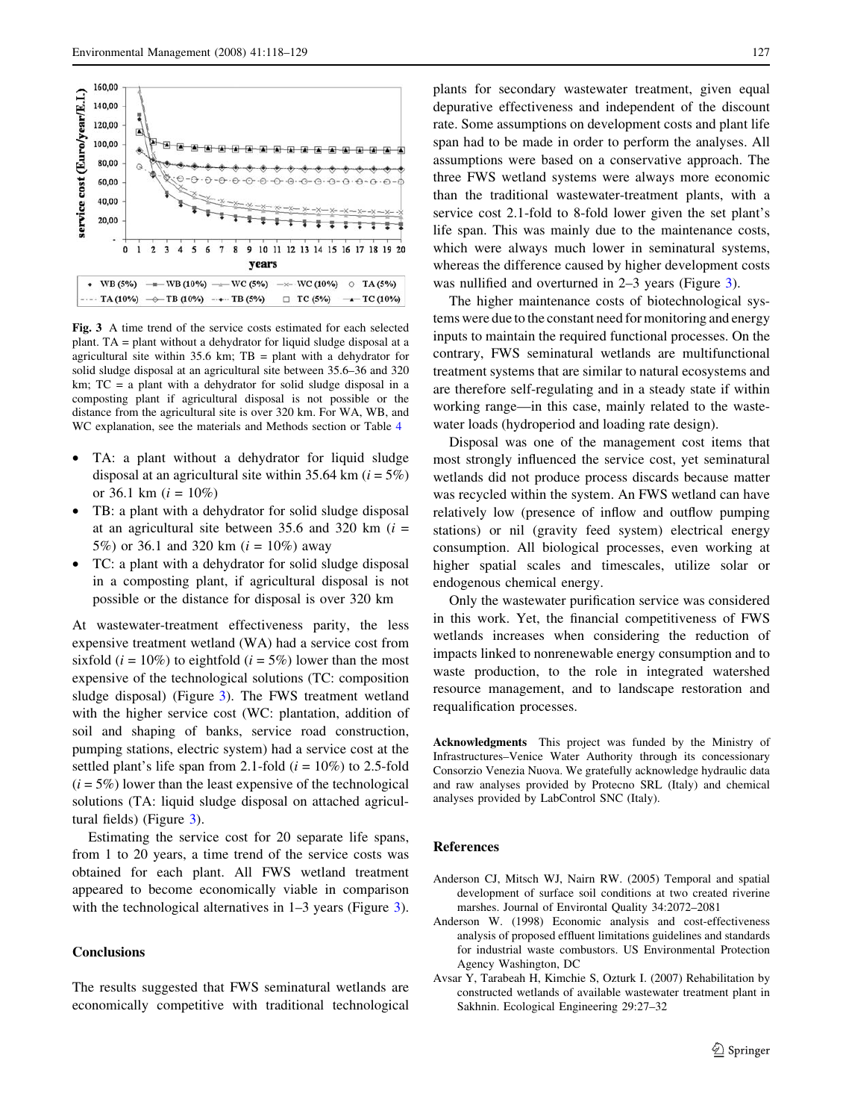<span id="page-9-0"></span>

Fig. 3 A time trend of the service costs estimated for each selected plant. TA = plant without a dehydrator for liquid sludge disposal at a agricultural site within 35.6 km;  $TB = plant$  with a dehydrator for solid sludge disposal at an agricultural site between 35.6–36 and 320 km; TC = a plant with a dehydrator for solid sludge disposal in a composting plant if agricultural disposal is not possible or the distance from the agricultural site is over 320 km. For WA, WB, and WC explanation, see the materials and Methods section or Table [4](#page-5-0)

- TA: a plant without a dehydrator for liquid sludge disposal at an agricultural site within 35.64 km ( $i = 5\%$ ) or 36.1 km  $(i = 10\%)$
- TB: a plant with a dehydrator for solid sludge disposal at an agricultural site between 35.6 and 320 km  $(i =$ 5%) or 36.1 and 320 km  $(i = 10\%)$  away
- TC: a plant with a dehydrator for solid sludge disposal in a composting plant, if agricultural disposal is not possible or the distance for disposal is over 320 km

At wastewater-treatment effectiveness parity, the less expensive treatment wetland (WA) had a service cost from sixfold ( $i = 10\%$ ) to eightfold ( $i = 5\%$ ) lower than the most expensive of the technological solutions (TC: composition sludge disposal) (Figure 3). The FWS treatment wetland with the higher service cost (WC: plantation, addition of soil and shaping of banks, service road construction, pumping stations, electric system) had a service cost at the settled plant's life span from 2.1-fold  $(i = 10\%)$  to 2.5-fold  $(i = 5\%)$  lower than the least expensive of the technological solutions (TA: liquid sludge disposal on attached agricultural fields) (Figure 3).

Estimating the service cost for 20 separate life spans, from 1 to 20 years, a time trend of the service costs was obtained for each plant. All FWS wetland treatment appeared to become economically viable in comparison with the technological alternatives in  $1-3$  years (Figure 3).

#### **Conclusions**

The results suggested that FWS seminatural wetlands are economically competitive with traditional technological plants for secondary wastewater treatment, given equal depurative effectiveness and independent of the discount rate. Some assumptions on development costs and plant life span had to be made in order to perform the analyses. All assumptions were based on a conservative approach. The three FWS wetland systems were always more economic than the traditional wastewater-treatment plants, with a service cost 2.1-fold to 8-fold lower given the set plant's life span. This was mainly due to the maintenance costs, which were always much lower in seminatural systems, whereas the difference caused by higher development costs was nullified and overturned in 2–3 years (Figure 3).

The higher maintenance costs of biotechnological systems were due to the constant need for monitoring and energy inputs to maintain the required functional processes. On the contrary, FWS seminatural wetlands are multifunctional treatment systems that are similar to natural ecosystems and are therefore self-regulating and in a steady state if within working range—in this case, mainly related to the wastewater loads (hydroperiod and loading rate design).

Disposal was one of the management cost items that most strongly influenced the service cost, yet seminatural wetlands did not produce process discards because matter was recycled within the system. An FWS wetland can have relatively low (presence of inflow and outflow pumping stations) or nil (gravity feed system) electrical energy consumption. All biological processes, even working at higher spatial scales and timescales, utilize solar or endogenous chemical energy.

Only the wastewater purification service was considered in this work. Yet, the financial competitiveness of FWS wetlands increases when considering the reduction of impacts linked to nonrenewable energy consumption and to waste production, to the role in integrated watershed resource management, and to landscape restoration and requalification processes.

Acknowledgments This project was funded by the Ministry of Infrastructures–Venice Water Authority through its concessionary Consorzio Venezia Nuova. We gratefully acknowledge hydraulic data and raw analyses provided by Protecno SRL (Italy) and chemical analyses provided by LabControl SNC (Italy).

## References

- Anderson CJ, Mitsch WJ, Nairn RW. (2005) Temporal and spatial development of surface soil conditions at two created riverine marshes. Journal of Environtal Quality 34:2072–2081
- Anderson W. (1998) Economic analysis and cost-effectiveness analysis of proposed effluent limitations guidelines and standards for industrial waste combustors. US Environmental Protection Agency Washington, DC
- Avsar Y, Tarabeah H, Kimchie S, Ozturk I. (2007) Rehabilitation by constructed wetlands of available wastewater treatment plant in Sakhnin. Ecological Engineering 29:27–32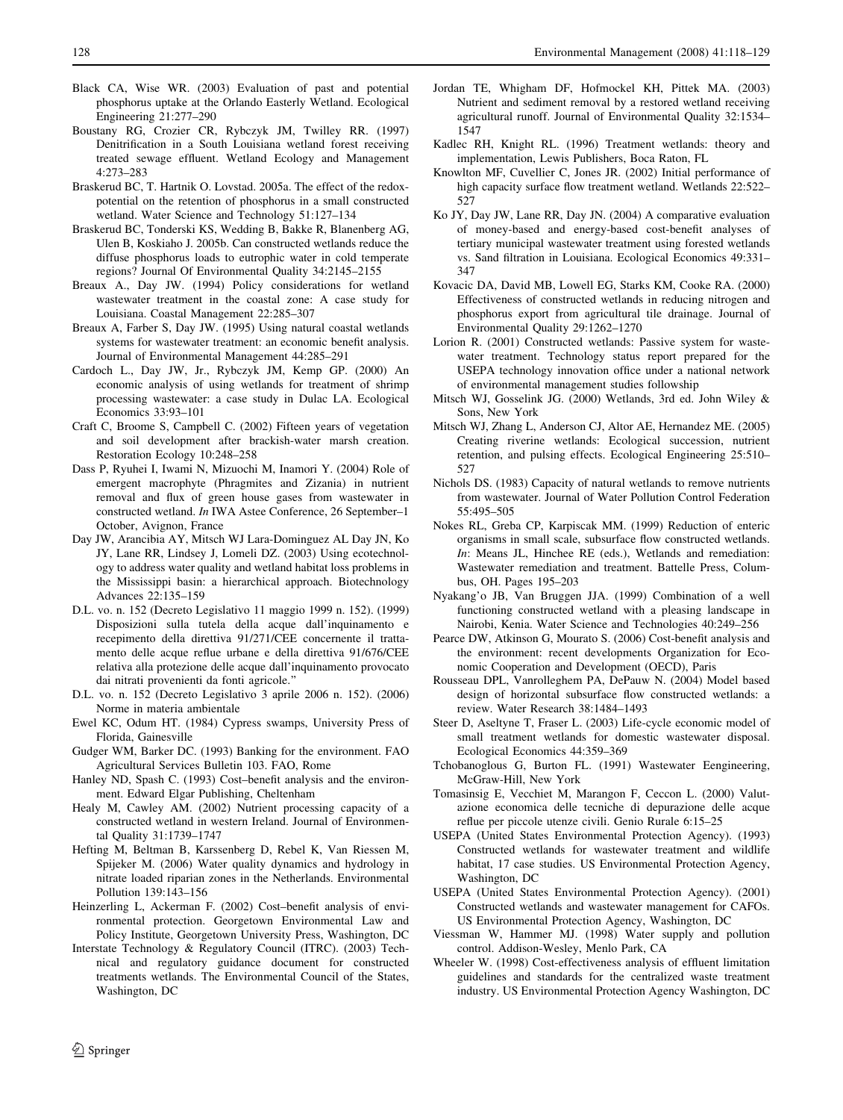- <span id="page-10-0"></span>Black CA, Wise WR. (2003) Evaluation of past and potential phosphorus uptake at the Orlando Easterly Wetland. Ecological Engineering 21:277–290
- Boustany RG, Crozier CR, Rybczyk JM, Twilley RR. (1997) Denitrification in a South Louisiana wetland forest receiving treated sewage effluent. Wetland Ecology and Management 4:273–283
- Braskerud BC, T. Hartnik O. Lovstad. 2005a. The effect of the redoxpotential on the retention of phosphorus in a small constructed wetland. Water Science and Technology 51:127–134
- Braskerud BC, Tonderski KS, Wedding B, Bakke R, Blanenberg AG, Ulen B, Koskiaho J. 2005b. Can constructed wetlands reduce the diffuse phosphorus loads to eutrophic water in cold temperate regions? Journal Of Environmental Quality 34:2145–2155
- Breaux A., Day JW. (1994) Policy considerations for wetland wastewater treatment in the coastal zone: A case study for Louisiana. Coastal Management 22:285–307
- Breaux A, Farber S, Day JW. (1995) Using natural coastal wetlands systems for wastewater treatment: an economic benefit analysis. Journal of Environmental Management 44:285–291
- Cardoch L., Day JW, Jr., Rybczyk JM, Kemp GP. (2000) An economic analysis of using wetlands for treatment of shrimp processing wastewater: a case study in Dulac LA. Ecological Economics 33:93–101
- Craft C, Broome S, Campbell C. (2002) Fifteen years of vegetation and soil development after brackish-water marsh creation. Restoration Ecology 10:248–258
- Dass P, Ryuhei I, Iwami N, Mizuochi M, Inamori Y. (2004) Role of emergent macrophyte (Phragmites and Zizania) in nutrient removal and flux of green house gases from wastewater in constructed wetland. In IWA Astee Conference, 26 September–1 October, Avignon, France
- Day JW, Arancibia AY, Mitsch WJ Lara-Dominguez AL Day JN, Ko JY, Lane RR, Lindsey J, Lomeli DZ. (2003) Using ecotechnology to address water quality and wetland habitat loss problems in the Mississippi basin: a hierarchical approach. Biotechnology Advances 22:135–159
- D.L. vo. n. 152 (Decreto Legislativo 11 maggio 1999 n. 152). (1999) Disposizioni sulla tutela della acque dall'inquinamento e recepimento della direttiva 91/271/CEE concernente il trattamento delle acque reflue urbane e della direttiva 91/676/CEE relativa alla protezione delle acque dall'inquinamento provocato dai nitrati provenienti da fonti agricole.''
- D.L. vo. n. 152 (Decreto Legislativo 3 aprile 2006 n. 152). (2006) Norme in materia ambientale
- Ewel KC, Odum HT. (1984) Cypress swamps, University Press of Florida, Gainesville
- Gudger WM, Barker DC. (1993) Banking for the environment. FAO Agricultural Services Bulletin 103. FAO, Rome
- Hanley ND, Spash C. (1993) Cost–benefit analysis and the environment. Edward Elgar Publishing, Cheltenham
- Healy M, Cawley AM. (2002) Nutrient processing capacity of a constructed wetland in western Ireland. Journal of Environmental Quality 31:1739–1747
- Hefting M, Beltman B, Karssenberg D, Rebel K, Van Riessen M, Spijeker M. (2006) Water quality dynamics and hydrology in nitrate loaded riparian zones in the Netherlands. Environmental Pollution 139:143–156
- Heinzerling L, Ackerman F. (2002) Cost–benefit analysis of environmental protection. Georgetown Environmental Law and Policy Institute, Georgetown University Press, Washington, DC
- Interstate Technology & Regulatory Council (ITRC). (2003) Technical and regulatory guidance document for constructed treatments wetlands. The Environmental Council of the States, Washington, DC
- Jordan TE, Whigham DF, Hofmockel KH, Pittek MA. (2003) Nutrient and sediment removal by a restored wetland receiving agricultural runoff. Journal of Environmental Quality 32:1534– 1547
- Kadlec RH, Knight RL. (1996) Treatment wetlands: theory and implementation, Lewis Publishers, Boca Raton, FL
- Knowlton MF, Cuvellier C, Jones JR. (2002) Initial performance of high capacity surface flow treatment wetland. Wetlands 22:522– 527
- Ko JY, Day JW, Lane RR, Day JN. (2004) A comparative evaluation of money-based and energy-based cost-benefit analyses of tertiary municipal wastewater treatment using forested wetlands vs. Sand filtration in Louisiana. Ecological Economics 49:331– 347
- Kovacic DA, David MB, Lowell EG, Starks KM, Cooke RA. (2000) Effectiveness of constructed wetlands in reducing nitrogen and phosphorus export from agricultural tile drainage. Journal of Environmental Quality 29:1262–1270
- Lorion R. (2001) Constructed wetlands: Passive system for wastewater treatment. Technology status report prepared for the USEPA technology innovation office under a national network of environmental management studies followship
- Mitsch WJ, Gosselink JG. (2000) Wetlands, 3rd ed. John Wiley & Sons, New York
- Mitsch WJ, Zhang L, Anderson CJ, Altor AE, Hernandez ME. (2005) Creating riverine wetlands: Ecological succession, nutrient retention, and pulsing effects. Ecological Engineering 25:510– 527
- Nichols DS. (1983) Capacity of natural wetlands to remove nutrients from wastewater. Journal of Water Pollution Control Federation 55:495–505
- Nokes RL, Greba CP, Karpiscak MM. (1999) Reduction of enteric organisms in small scale, subsurface flow constructed wetlands. In: Means JL, Hinchee RE (eds.), Wetlands and remediation: Wastewater remediation and treatment. Battelle Press, Columbus, OH. Pages 195–203
- Nyakang'o JB, Van Bruggen JJA. (1999) Combination of a well functioning constructed wetland with a pleasing landscape in Nairobi, Kenia. Water Science and Technologies 40:249–256
- Pearce DW, Atkinson G, Mourato S. (2006) Cost-benefit analysis and the environment: recent developments Organization for Economic Cooperation and Development (OECD), Paris
- Rousseau DPL, Vanrolleghem PA, DePauw N. (2004) Model based design of horizontal subsurface flow constructed wetlands: a review. Water Research 38:1484–1493
- Steer D, Aseltyne T, Fraser L. (2003) Life-cycle economic model of small treatment wetlands for domestic wastewater disposal. Ecological Economics 44:359–369
- Tchobanoglous G, Burton FL. (1991) Wastewater Eengineering, McGraw-Hill, New York
- Tomasinsig E, Vecchiet M, Marangon F, Ceccon L. (2000) Valutazione economica delle tecniche di depurazione delle acque reflue per piccole utenze civili. Genio Rurale 6:15–25
- USEPA (United States Environmental Protection Agency). (1993) Constructed wetlands for wastewater treatment and wildlife habitat, 17 case studies. US Environmental Protection Agency, Washington, DC
- USEPA (United States Environmental Protection Agency). (2001) Constructed wetlands and wastewater management for CAFOs. US Environmental Protection Agency, Washington, DC
- Viessman W, Hammer MJ. (1998) Water supply and pollution control. Addison-Wesley, Menlo Park, CA
- Wheeler W. (1998) Cost-effectiveness analysis of effluent limitation guidelines and standards for the centralized waste treatment industry. US Environmental Protection Agency Washington, DC